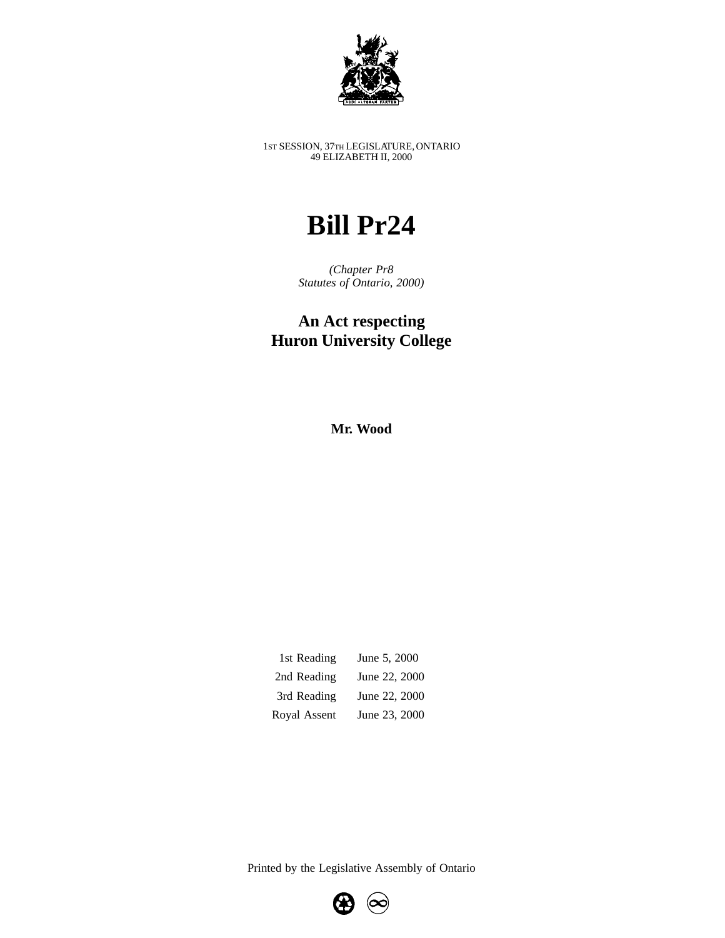

1ST SESSION, 37TH LEGISLATURE, ONTARIO 49 ELIZABETH II, 2000

## **Bill Pr24**

*(Chapter Pr8 Statutes of Ontario, 2000)*

## **An Act respecting Huron University College**

**Mr. Wood**

| 1st Reading  | June 5, 2000  |
|--------------|---------------|
| 2nd Reading  | June 22, 2000 |
| 3rd Reading  | June 22, 2000 |
| Royal Assent | June 23, 2000 |

Printed by the Legislative Assembly of Ontario

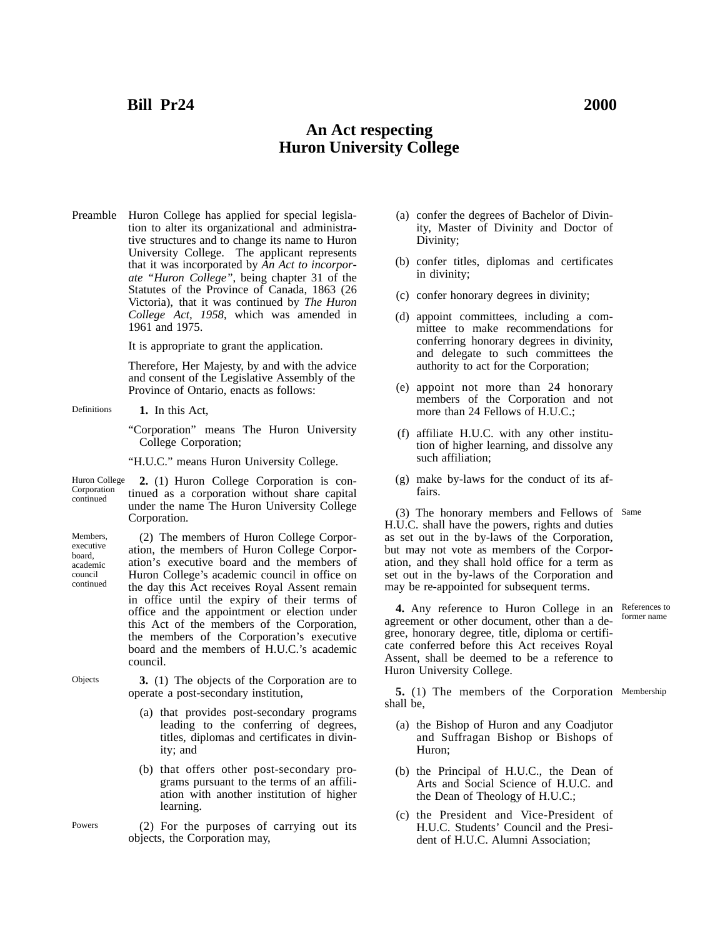## **An Act respecting Huron University College**

Preamble Huron College has applied for special legislation to alter its organizational and administrative structures and to change its name to Huron University College. The applicant represents that it was incorporated by *An Act to incorporate "Huron College"*, being chapter 31 of the Statutes of the Province of Canada, 1863 (26 Victoria), that it was continued by *The Huron College Act, 1958*, which was amended in 1961 and 1975.

It is appropriate to grant the application.

Therefore, Her Majesty, by and with the advice and consent of the Legislative Assembly of the Province of Ontario, enacts as follows:

- Definitions **1.** In this Act,
	- "Corporation" means The Huron University College Corporation;

"H.U.C." means Huron University College.

Huron College Corporation continued **2.** (1) Huron College Corporation is continued as a corporation without share capital under the name The Huron University College Corporation.

Members, executive board, academic council continued (2) The members of Huron College Corporation, the members of Huron College Corporation's executive board and the members of Huron College's academic council in office on the day this Act receives Royal Assent remain in office until the expiry of their terms of office and the appointment or election under this Act of the members of the Corporation, the members of the Corporation's executive board and the members of H.U.C.'s academic council.

- Objects **3.** (1) The objects of the Corporation are to operate a post-secondary institution,
	- (a) that provides post-secondary programs leading to the conferring of degrees, titles, diplomas and certificates in divinity; and
	- (b) that offers other post-secondary programs pursuant to the terms of an affiliation with another institution of higher learning.
	- (2) For the purposes of carrying out its objects, the Corporation may,
- (a) confer the degrees of Bachelor of Divinity, Master of Divinity and Doctor of Divinity;
- (b) confer titles, diplomas and certificates in divinity;
- (c) confer honorary degrees in divinity;
- (d) appoint committees, including a committee to make recommendations for conferring honorary degrees in divinity, and delegate to such committees the authority to act for the Corporation;
- (e) appoint not more than 24 honorary members of the Corporation and not more than 24 Fellows of H.U.C.;
- (f) affiliate H.U.C. with any other institution of higher learning, and dissolve any such affiliation;
- (g) make by-laws for the conduct of its affairs.

(3) The honorary members and Fellows of Same H.U.C. shall have the powers, rights and duties as set out in the by-laws of the Corporation, but may not vote as members of the Corporation, and they shall hold office for a term as set out in the by-laws of the Corporation and may be re-appointed for subsequent terms.

**4.** Any reference to Huron College in an agreement or other document, other than a degree, honorary degree, title, diploma or certificate conferred before this Act receives Royal Assent, shall be deemed to be a reference to Huron University College.

**5.** (1) The members of the Corporation Membershipshall be,

- (a) the Bishop of Huron and any Coadjutor and Suffragan Bishop or Bishops of Huron;
- (b) the Principal of H.U.C., the Dean of Arts and Social Science of H.U.C. and the Dean of Theology of H.U.C.;
- (c) the President and Vice-President of H.U.C. Students' Council and the President of H.U.C. Alumni Association;

References to former name

Powers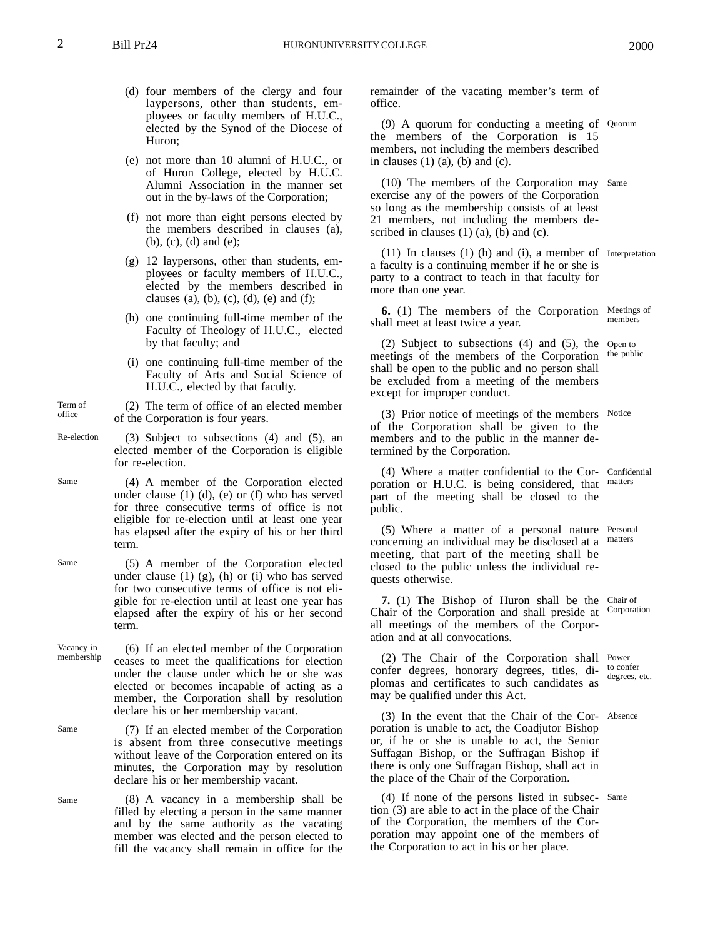- (d) four members of the clergy and four laypersons, other than students, employees or faculty members of H.U.C., elected by the Synod of the Diocese of Huron;
- (e) not more than 10 alumni of H.U.C., or of Huron College, elected by H.U.C. Alumni Association in the manner set out in the by-laws of the Corporation;
- (f) not more than eight persons elected by the members described in clauses (a), (b), (c), (d) and (e);
- (g) 12 laypersons, other than students, employees or faculty members of H.U.C., elected by the members described in clauses (a), (b), (c), (d), (e) and (f);
- (h) one continuing full-time member of the Faculty of Theology of H.U.C., elected by that faculty; and
- (i) one continuing full-time member of the Faculty of Arts and Social Science of H.U.C., elected by that faculty.
- Term of office (2) The term of office of an elected member of the Corporation is four years.
- Re-election (3) Subject to subsections (4) and (5), an elected member of the Corporation is eligible for re-election.

Same

- (4) A member of the Corporation elected under clause  $(1)$   $(d)$ ,  $(e)$  or  $(f)$  who has served for three consecutive terms of office is not eligible for re-election until at least one year has elapsed after the expiry of his or her third term.
- Same (5) A member of the Corporation elected under clause  $(1)$   $(g)$ ,  $(h)$  or  $(i)$  who has served for two consecutive terms of office is not eligible for re-election until at least one year has elapsed after the expiry of his or her second term.
- Vacancy in membership (6) If an elected member of the Corporation ceases to meet the qualifications for election under the clause under which he or she was elected or becomes incapable of acting as a member, the Corporation shall by resolution declare his or her membership vacant.
- Same (7) If an elected member of the Corporation is absent from three consecutive meetings without leave of the Corporation entered on its minutes, the Corporation may by resolution declare his or her membership vacant.
- Same (8) A vacancy in a membership shall be filled by electing a person in the same manner and by the same authority as the vacating member was elected and the person elected to fill the vacancy shall remain in office for the

remainder of the vacating member's term of office.

(9) A quorum for conducting a meeting of Quorum the members of the Corporation is 15 members, not including the members described in clauses  $(1)$   $(a)$ ,  $(b)$  and  $(c)$ .

(10) The members of the Corporation may Same exercise any of the powers of the Corporation so long as the membership consists of at least 21 members, not including the members described in clauses  $(1)$   $(a)$ ,  $(b)$  and  $(c)$ .

(11) In clauses (1) (h) and (i), a member of Interpretation a faculty is a continuing member if he or she is party to a contract to teach in that faculty for more than one year.

**6.** (1) The members of the Corporation Meetings of shall meet at least twice a year. members

(2) Subject to subsections (4) and (5), the Open to meetings of the members of the Corporation shall be open to the public and no person shall be excluded from a meeting of the members except for improper conduct. the public

(3) Prior notice of meetings of the members Notice of the Corporation shall be given to the members and to the public in the manner determined by the Corporation.

(4) Where a matter confidential to the Cor-Confidential poration or H.U.C. is being considered, that part of the meeting shall be closed to the public.

(5) Where a matter of a personal nature Personal concerning an individual may be disclosed at a matters meeting, that part of the meeting shall be closed to the public unless the individual requests otherwise.

**7.** (1) The Bishop of Huron shall be the Chair of Chair of the Corporation and shall preside at all meetings of the members of the Corporation and at all convocations.

(2) The Chair of the Corporation shall Power confer degrees, honorary degrees, titles, diplomas and certificates to such candidates as may be qualified under this Act.

(3) In the event that the Chair of the Cor-Absence poration is unable to act, the Coadjutor Bishop or, if he or she is unable to act, the Senior Suffagan Bishop, or the Suffragan Bishop if there is only one Suffragan Bishop, shall act in the place of the Chair of the Corporation.

(4) If none of the persons listed in subsec-Sametion (3) are able to act in the place of the Chair of the Corporation, the members of the Corporation may appoint one of the members of the Corporation to act in his or her place.

matters

Corporation

to confer degrees, etc.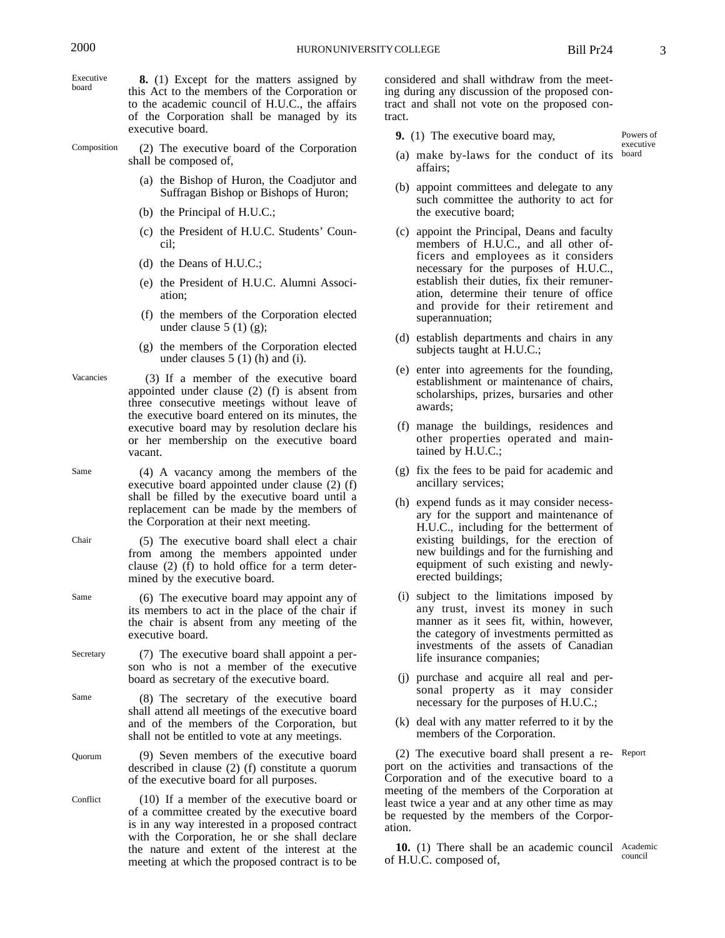Vacancies

Executive board **8.** (1) Except for the matters assigned by this Act to the members of the Corporation or to the academic council of H.U.C., the affairs of the Corporation shall be managed by its executive board.

Composition (2) The executive board of the Corporation shall be composed of,

- (a) the Bishop of Huron, the Coadjutor and Suffragan Bishop or Bishops of Huron;
- (b) the Principal of H.U.C.;
- (c) the President of H.U.C. Students' Council;
- (d) the Deans of H.U.C.;
- (e) the President of H.U.C. Alumni Association;
- (f) the members of the Corporation elected under clause  $5(1)(g)$ ;
- (g) the members of the Corporation elected under clauses 5 (1) (h) and (i).
- (3) If a member of the executive board appointed under clause (2) (f) is absent from three consecutive meetings without leave of the executive board entered on its minutes, the executive board may by resolution declare his or her membership on the executive board vacant.
- Same (4) A vacancy among the members of the executive board appointed under clause (2) (f) shall be filled by the executive board until a replacement can be made by the members of the Corporation at their next meeting.
- Chair (5) The executive board shall elect a chair from among the members appointed under clause (2) (f) to hold office for a term determined by the executive board.
- Same (6) The executive board may appoint any of its members to act in the place of the chair if the chair is absent from any meeting of the executive board.
- Secretary (7) The executive board shall appoint a person who is not a member of the executive board as secretary of the executive board.
- Same (8) The secretary of the executive board shall attend all meetings of the executive board and of the members of the Corporation, but shall not be entitled to vote at any meetings.

Quorum (9) Seven members of the executive board described in clause (2) (f) constitute a quorum of the executive board for all purposes.

Conflict (10) If a member of the executive board or of a committee created by the executive board is in any way interested in a proposed contract with the Corporation, he or she shall declare the nature and extent of the interest at the meeting at which the proposed contract is to be considered and shall withdraw from the meeting during any discussion of the proposed contract and shall not vote on the proposed contract.

- **9.** (1) The executive board may,
- (a) make by-laws for the conduct of its board affairs;
- (b) appoint committees and delegate to any such committee the authority to act for the executive board;
- (c) appoint the Principal, Deans and faculty members of H.U.C., and all other officers and employees as it considers necessary for the purposes of H.U.C., establish their duties, fix their remuneration, determine their tenure of office and provide for their retirement and superannuation;
- (d) establish departments and chairs in any subjects taught at H.U.C.;
- (e) enter into agreements for the founding, establishment or maintenance of chairs, scholarships, prizes, bursaries and other awards;
- (f) manage the buildings, residences and other properties operated and maintained by H.U.C.;
- (g) fix the fees to be paid for academic and ancillary services;
- (h) expend funds as it may consider necessary for the support and maintenance of H.U.C., including for the betterment of existing buildings, for the erection of new buildings and for the furnishing and equipment of such existing and newlyerected buildings;
- (i) subject to the limitations imposed by any trust, invest its money in such manner as it sees fit, within, however, the category of investments permitted as investments of the assets of Canadian life insurance companies;
- (j) purchase and acquire all real and personal property as it may consider necessary for the purposes of H.U.C.;
- (k) deal with any matter referred to it by the members of the Corporation.

(2) The executive board shall present a re-Report port on the activities and transactions of the Corporation and of the executive board to a meeting of the members of the Corporation at least twice a year and at any other time as may be requested by the members of the Corporation.

10. (1) There shall be an academic council Academic of H.U.C. composed of, council

Powers of executive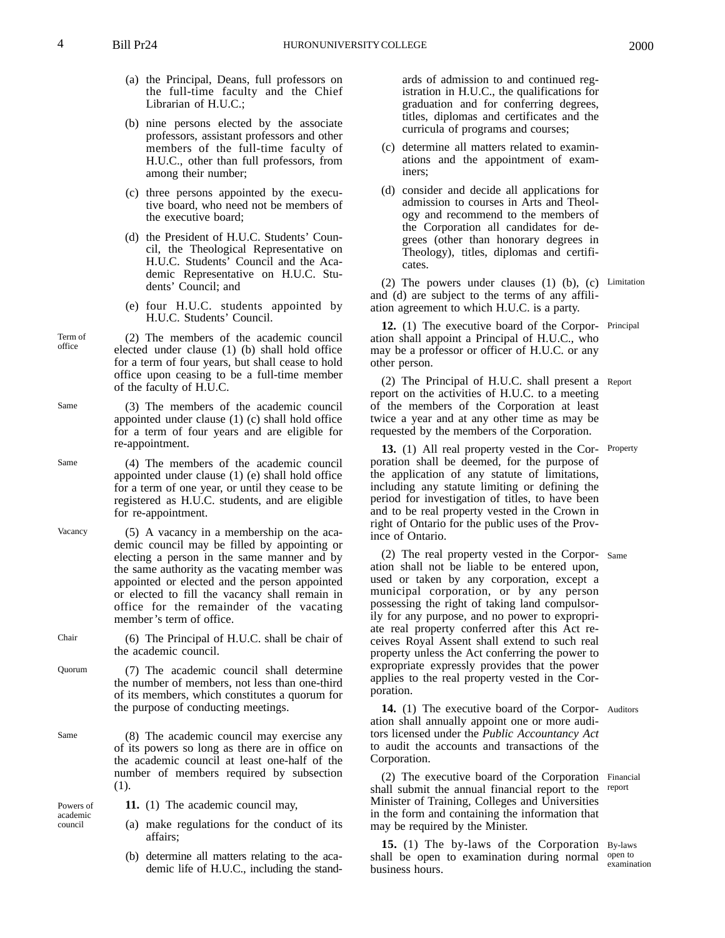- (a) the Principal, Deans, full professors on the full-time faculty and the Chief Librarian of H.U.C.;
- (b) nine persons elected by the associate professors, assistant professors and other members of the full-time faculty of H.U.C., other than full professors, from among their number;
- (c) three persons appointed by the executive board, who need not be members of the executive board;
- (d) the President of H.U.C. Students' Council, the Theological Representative on H.U.C. Students' Council and the Academic Representative on H.U.C. Students' Council; and
- (e) four H.U.C. students appointed by H.U.C. Students' Council.
- (2) The members of the academic council elected under clause (1) (b) shall hold office for a term of four years, but shall cease to hold office upon ceasing to be a full-time member of the faculty of H.U.C.
- (3) The members of the academic council appointed under clause (1) (c) shall hold office for a term of four years and are eligible for re-appointment.
- (4) The members of the academic council appointed under clause (1) (e) shall hold office for a term of one year, or until they cease to be registered as H.U.C. students, and are eligible for re-appointment.
- Vacancy (5) A vacancy in a membership on the academic council may be filled by appointing or electing a person in the same manner and by the same authority as the vacating member was appointed or elected and the person appointed or elected to fill the vacancy shall remain in office for the remainder of the vacating member's term of office.
- Chair (6) The Principal of H.U.C. shall be chair of the academic council.
- Quorum (7) The academic council shall determine the number of members, not less than one-third of its members, which constitutes a quorum for the purpose of conducting meetings.
	- (8) The academic council may exercise any of its powers so long as there are in office on the academic council at least one-half of the number of members required by subsection (1).
		- **11.** (1) The academic council may,
		- (a) make regulations for the conduct of its affairs;
		- (b) determine all matters relating to the academic life of H.U.C., including the stand-

ards of admission to and continued registration in H.U.C., the qualifications for graduation and for conferring degrees, titles, diplomas and certificates and the curricula of programs and courses;

- (c) determine all matters related to examinations and the appointment of examiners;
- (d) consider and decide all applications for admission to courses in Arts and Theology and recommend to the members of the Corporation all candidates for degrees (other than honorary degrees in Theology), titles, diplomas and certificates.

(2) The powers under clauses (1) (b), (c) Limitation and (d) are subject to the terms of any affiliation agreement to which H.U.C. is a party.

**12.** (1) The executive board of the Corpor-Principal ation shall appoint a Principal of H.U.C., who may be a professor or officer of H.U.C. or any other person.

(2) The Principal of H.U.C. shall present a Report report on the activities of H.U.C. to a meeting of the members of the Corporation at least twice a year and at any other time as may be requested by the members of the Corporation.

**13.** (1) All real property vested in the Corporation shall be deemed, for the purpose of the application of any statute of limitations, including any statute limiting or defining the period for investigation of titles, to have been and to be real property vested in the Crown in right of Ontario for the public uses of the Province of Ontario. Property

(2) The real property vested in the Corpor-Same ation shall not be liable to be entered upon, used or taken by any corporation, except a municipal corporation, or by any person possessing the right of taking land compulsorily for any purpose, and no power to expropriate real property conferred after this Act receives Royal Assent shall extend to such real property unless the Act conferring the power to expropriate expressly provides that the power applies to the real property vested in the Corporation.

14. (1) The executive board of the Corpor- Auditors ation shall annually appoint one or more auditors licensed under the *Public Accountancy Act* to audit the accounts and transactions of the Corporation.

(2) The executive board of the Corporation Financial shall submit the annual financial report to the report Minister of Training, Colleges and Universities in the form and containing the information that may be required by the Minister.

15. (1) The by-laws of the Corporation By-laws shall be open to examination during normal business hours.

open to examination

Same

Same

Same

Powers of academic council